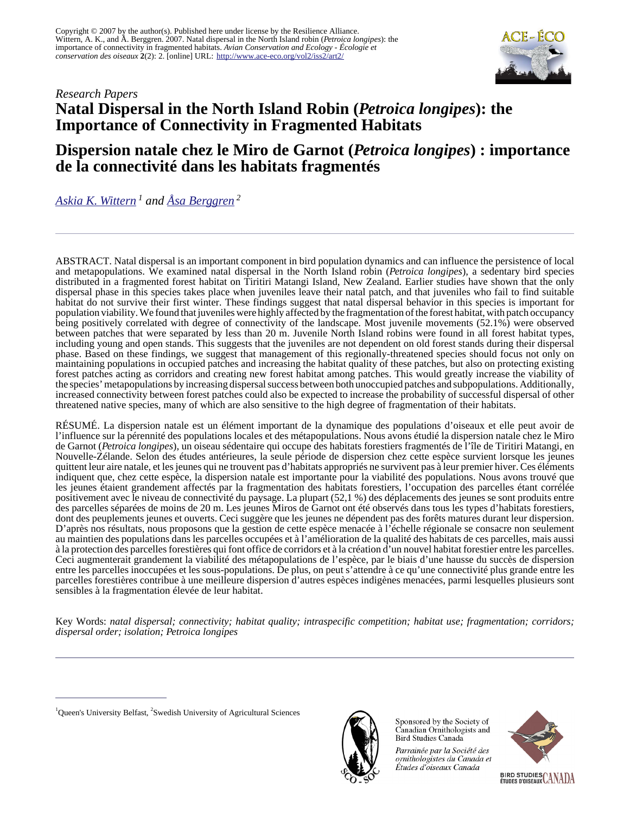

## *Research Papers* **Natal Dispersal in the North Island Robin (***Petroica longipes***): the Importance of Connectivity in Fragmented Habitats**

# **Dispersion natale chez le Miro de Garnot (***Petroica longipes***) : importance de la connectivité dans les habitats fragmentés**

*[Askia K. Wittern](mailto:awittern01@qub.ac.uk)<sup>1</sup> and [Åsa Berggren](mailto:Asa.Berggren@ekol.slu.se)<sup>2</sup>*

ABSTRACT. Natal dispersal is an important component in bird population dynamics and can influence the persistence of local and metapopulations. We examined natal dispersal in the North Island robin (*Petroica longipes*), a sedentary bird species distributed in a fragmented forest habitat on Tiritiri Matangi Island, New Zealand. Earlier studies have shown that the only dispersal phase in this species takes place when juveniles leave their natal patch, and that juveniles who fail to find suitable habitat do not survive their first winter. These findings suggest that natal dispersal behavior in this species is important for population viability. We found that juveniles were highly affected by the fragmentation of the forest habitat, with patch occupancy being positively correlated with degree of connectivity of the landscape. Most juvenile movements (52.1%) were observed between patches that were separated by less than 20 m. Juvenile North Island robins were found in all forest habitat types, including young and open stands. This suggests that the juveniles are not dependent on old forest stands during their dispersal phase. Based on these findings, we suggest that management of this regionally-threatened species should focus not only on maintaining populations in occupied patches and increasing the habitat quality of these patches, but also on protecting existing forest patches acting as corridors and creating new forest habitat among patches. This would greatly increase the viability of the species' metapopulations by increasing dispersal success between both unoccupied patches and subpopulations. Additionally, increased connectivity between forest patches could also be expected to increase the probability of successful dispersal of other threatened native species, many of which are also sensitive to the high degree of fragmentation of their habitats.

RÉSUMÉ. La dispersion natale est un élément important de la dynamique des populations d'oiseaux et elle peut avoir de l'influence sur la pérennité des populations locales et des métapopulations. Nous avons étudié la dispersion natale chez le Miro de Garnot (*Petroica longipes*), un oiseau sédentaire qui occupe des habitats forestiers fragmentés de l'île de Tiritiri Matangi, en Nouvelle-Zélande. Selon des études antérieures, la seule période de dispersion chez cette espèce survient lorsque les jeunes quittent leur aire natale, et les jeunes qui ne trouvent pas d'habitats appropriés ne survivent pas à leur premier hiver. Ces éléments indiquent que, chez cette espèce, la dispersion natale est importante pour la viabilité des populations. Nous avons trouvé que les jeunes étaient grandement affectés par la fragmentation des habitats forestiers, l'occupation des parcelles étant corrélée positivement avec le niveau de connectivité du paysage. La plupart (52,1 %) des déplacements des jeunes se sont produits entre des parcelles séparées de moins de 20 m. Les jeunes Miros de Garnot ont été observés dans tous les types d'habitats forestiers, dont des peuplements jeunes et ouverts. Ceci suggère que les jeunes ne dépendent pas des forêts matures durant leur dispersion. D'après nos résultats, nous proposons que la gestion de cette espèce menacée à l'échelle régionale se consacre non seulement au maintien des populations dans les parcelles occupées et à l'amélioration de la qualité des habitats de ces parcelles, mais aussi à la protection des parcelles forestières qui font office de corridors et à la création d'un nouvel habitat forestier entre les parcelles. Ceci augmenterait grandement la viabilité des métapopulations de l'espèce, par le biais d'une hausse du succès de dispersion entre les parcelles inoccupées et les sous-populations. De plus, on peut s'attendre à ce qu'une connectivité plus grande entre les parcelles forestières contribue à une meilleure dispersion d'autres espèces indigènes menacées, parmi lesquelles plusieurs sont sensibles à la fragmentation élevée de leur habitat.

Key Words: *natal dispersal; connectivity; habitat quality; intraspecific competition; habitat use; fragmentation; corridors; dispersal order; isolation; Petroica longipes*

<sup>&</sup>lt;sup>1</sup>Queen's University Belfast, <sup>2</sup>Swedish University of Agricultural Sciences



Sponsored by the Society of Canadian Ornithologists and Bird Studies Canada

Parrainée par la Société des ornithologistes du Canada et Études d'oiseaux Canada

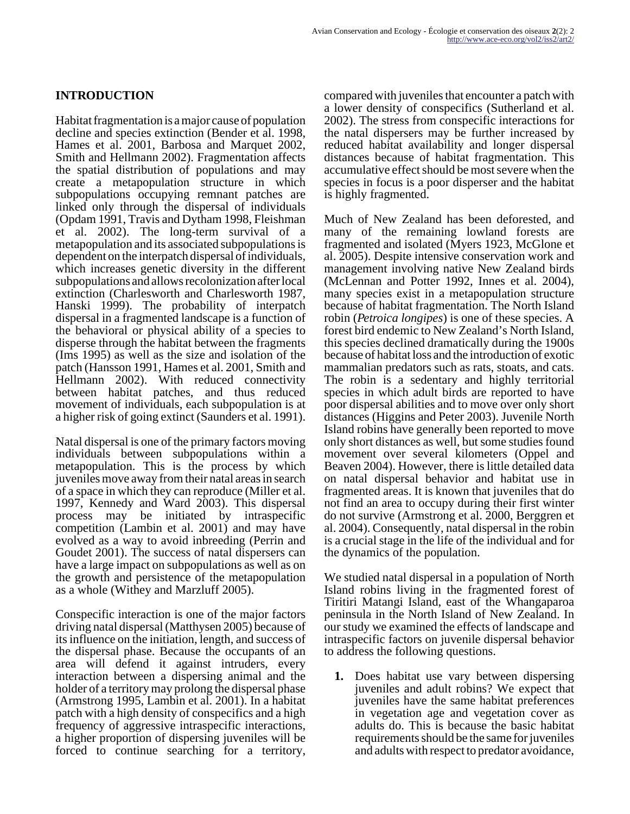### **INTRODUCTION**

Habitat fragmentation is a major cause of population decline and species extinction (Bender et al. 1998, Hames et al. 2001, Barbosa and Marquet 2002, Smith and Hellmann 2002). Fragmentation affects the spatial distribution of populations and may create a metapopulation structure in which subpopulations occupying remnant patches are linked only through the dispersal of individuals (Opdam 1991, Travis and Dytham 1998, Fleishman et al. 2002). The long-term survival of a metapopulation and its associated subpopulations is dependent on the interpatch dispersal of individuals, which increases genetic diversity in the different subpopulations and allows recolonization after local extinction (Charlesworth and Charlesworth 1987, Hanski 1999). The probability of interpatch dispersal in a fragmented landscape is a function of the behavioral or physical ability of a species to disperse through the habitat between the fragments (Ims 1995) as well as the size and isolation of the patch (Hansson 1991, Hames et al. 2001, Smith and Hellmann 2002). With reduced connectivity between habitat patches, and thus reduced movement of individuals, each subpopulation is at a higher risk of going extinct (Saunders et al. 1991).

Natal dispersal is one of the primary factors moving individuals between subpopulations within a metapopulation. This is the process by which juveniles move away from their natal areas in search of a space in which they can reproduce (Miller et al. 1997, Kennedy and Ward 2003). This dispersal process may be initiated by intraspecific competition (Lambin et al. 2001) and may have evolved as a way to avoid inbreeding (Perrin and Goudet 2001). The success of natal dispersers can have a large impact on subpopulations as well as on the growth and persistence of the metapopulation as a whole (Withey and Marzluff 2005).

Conspecific interaction is one of the major factors driving natal dispersal (Matthysen 2005) because of its influence on the initiation, length, and success of the dispersal phase. Because the occupants of an area will defend it against intruders, every interaction between a dispersing animal and the holder of a territory may prolong the dispersal phase (Armstrong 1995, Lambin et al. 2001). In a habitat patch with a high density of conspecifics and a high frequency of aggressive intraspecific interactions, a higher proportion of dispersing juveniles will be forced to continue searching for a territory,

compared with juveniles that encounter a patch with a lower density of conspecifics (Sutherland et al. 2002). The stress from conspecific interactions for the natal dispersers may be further increased by reduced habitat availability and longer dispersal distances because of habitat fragmentation. This accumulative effect should be most severe when the species in focus is a poor disperser and the habitat is highly fragmented.

Much of New Zealand has been deforested, and many of the remaining lowland forests are fragmented and isolated (Myers 1923, McGlone et al. 2005). Despite intensive conservation work and management involving native New Zealand birds (McLennan and Potter 1992, Innes et al. 2004), many species exist in a metapopulation structure because of habitat fragmentation. The North Island robin (*Petroica longipes*) is one of these species. A forest bird endemic to New Zealand's North Island, this species declined dramatically during the 1900s because of habitat loss and the introduction of exotic mammalian predators such as rats, stoats, and cats. The robin is a sedentary and highly territorial species in which adult birds are reported to have poor dispersal abilities and to move over only short distances (Higgins and Peter 2003). Juvenile North Island robins have generally been reported to move only short distances as well, but some studies found movement over several kilometers (Oppel and Beaven 2004). However, there is little detailed data on natal dispersal behavior and habitat use in fragmented areas. It is known that juveniles that do not find an area to occupy during their first winter do not survive (Armstrong et al. 2000, Berggren et al. 2004). Consequently, natal dispersal in the robin is a crucial stage in the life of the individual and for the dynamics of the population.

We studied natal dispersal in a population of North Island robins living in the fragmented forest of Tiritiri Matangi Island, east of the Whangaparoa peninsula in the North Island of New Zealand. In our study we examined the effects of landscape and intraspecific factors on juvenile dispersal behavior to address the following questions.

**1.** Does habitat use vary between dispersing juveniles and adult robins? We expect that juveniles have the same habitat preferences in vegetation age and vegetation cover as adults do. This is because the basic habitat requirements should be the same for juveniles and adults with respect to predator avoidance,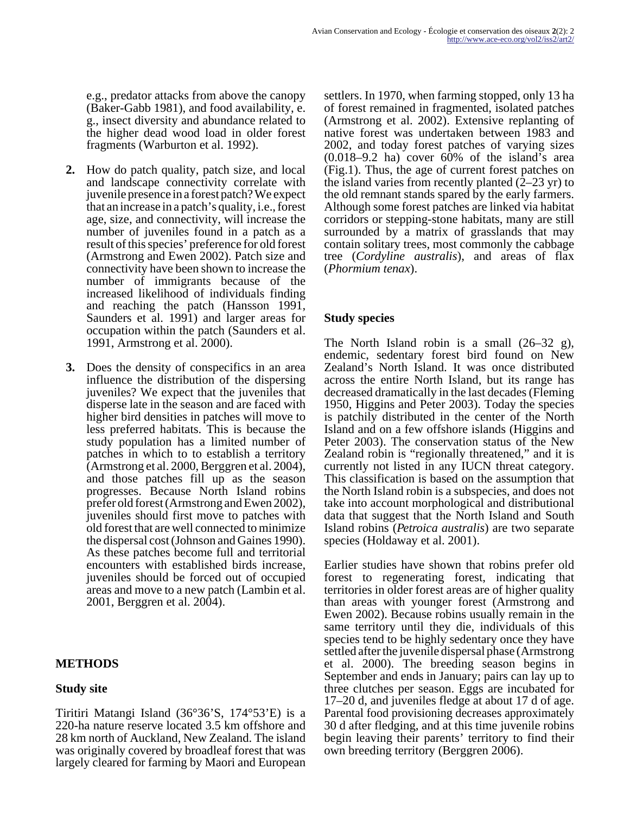e.g., predator attacks from above the canopy (Baker-Gabb 1981), and food availability, e. g., insect diversity and abundance related to the higher dead wood load in older forest fragments (Warburton et al. 1992).

- **2.** How do patch quality, patch size, and local and landscape connectivity correlate with juvenile presence in a forest patch? We expect that an increase in a patch's quality, i.e., forest age, size, and connectivity, will increase the number of juveniles found in a patch as a result of this species' preference for old forest (Armstrong and Ewen 2002). Patch size and connectivity have been shown to increase the number of immigrants because of the increased likelihood of individuals finding and reaching the patch (Hansson 1991, Saunders et al. 1991) and larger areas for occupation within the patch (Saunders et al. 1991, Armstrong et al. 2000).
- **3.** Does the density of conspecifics in an area influence the distribution of the dispersing juveniles? We expect that the juveniles that disperse late in the season and are faced with higher bird densities in patches will move to less preferred habitats. This is because the study population has a limited number of patches in which to to establish a territory (Armstrong et al. 2000, Berggren et al. 2004), and those patches fill up as the season progresses. Because North Island robins prefer old forest (Armstrong and Ewen 2002), juveniles should first move to patches with old forest that are well connected to minimize the dispersal cost (Johnson and Gaines 1990). As these patches become full and territorial encounters with established birds increase, juveniles should be forced out of occupied areas and move to a new patch (Lambin et al. 2001, Berggren et al. 2004).

#### **METHODS**

#### **Study site**

Tiritiri Matangi Island (36°36'S, 174°53'E) is a 220-ha nature reserve located 3.5 km offshore and 28 km north of Auckland, New Zealand. The island was originally covered by broadleaf forest that was largely cleared for farming by Maori and European settlers. In 1970, when farming stopped, only 13 ha of forest remained in fragmented, isolated patches (Armstrong et al. 2002). Extensive replanting of native forest was undertaken between 1983 and 2002, and today forest patches of varying sizes  $(0.018-9.2)$  ha) cover  $60\%$  of the island's area (Fig.1). Thus, the age of current forest patches on the island varies from recently planted  $(2-23 \text{ yr})$  to the old remnant stands spared by the early farmers. Although some forest patches are linked via habitat corridors or stepping-stone habitats, many are still surrounded by a matrix of grasslands that may contain solitary trees, most commonly the cabbage tree (*Cordyline australis*), and areas of flax (*Phormium tenax*).

#### **Study species**

The North Island robin is a small  $(26-32 \text{ g})$ , endemic, sedentary forest bird found on New Zealand's North Island. It was once distributed across the entire North Island, but its range has decreased dramatically in the last decades (Fleming 1950, Higgins and Peter 2003). Today the species is patchily distributed in the center of the North Island and on a few offshore islands (Higgins and Peter 2003). The conservation status of the New Zealand robin is "regionally threatened," and it is currently not listed in any IUCN threat category. This classification is based on the assumption that the North Island robin is a subspecies, and does not take into account morphological and distributional data that suggest that the North Island and South Island robins (*Petroica australis*) are two separate species (Holdaway et al. 2001).

Earlier studies have shown that robins prefer old forest to regenerating forest, indicating that territories in older forest areas are of higher quality than areas with younger forest (Armstrong and Ewen 2002). Because robins usually remain in the same territory until they die, individuals of this species tend to be highly sedentary once they have settled after the juvenile dispersal phase (Armstrong et al. 2000). The breeding season begins in September and ends in January; pairs can lay up to three clutches per season. Eggs are incubated for 17–20 d, and juveniles fledge at about 17 d of age. Parental food provisioning decreases approximately 30 d after fledging, and at this time juvenile robins begin leaving their parents' territory to find their own breeding territory (Berggren 2006).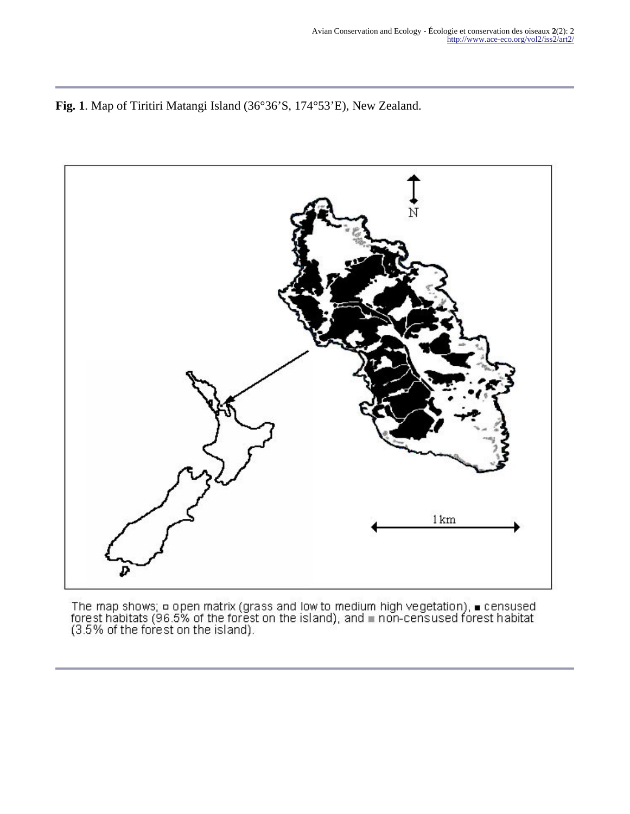**Fig. 1**. Map of Tiritiri Matangi Island (36°36'S, 174°53'E), New Zealand.



The map shows;  $\sigma$  open matrix (grass and low to medium high vegetation),  $\bullet$  censused forest habitats (96.5% of the forest on the island), and  $\bullet$  non-censused forest habitat (3.5% of the forest on the island).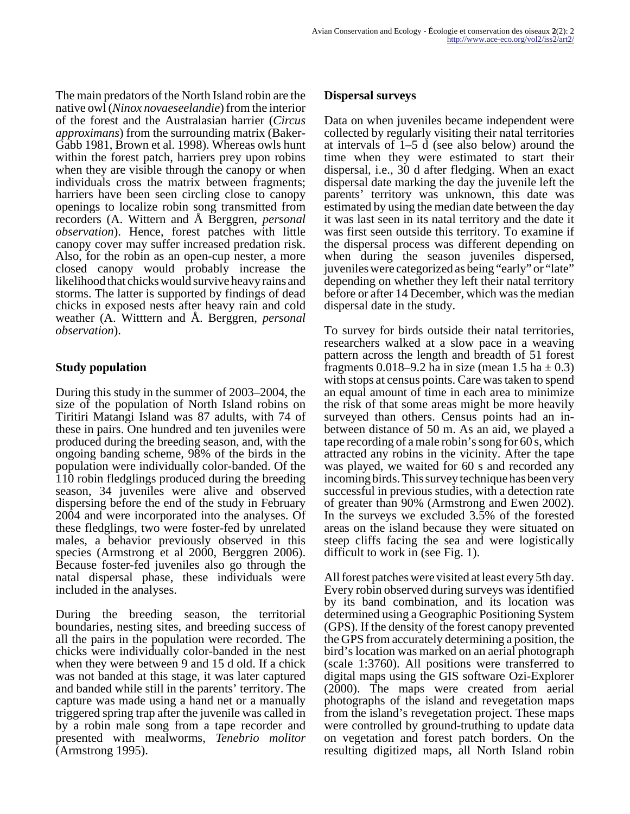The main predators of the North Island robin are the native owl (*Ninox novaeseelandie*) from the interior of the forest and the Australasian harrier (*Circus approximans*) from the surrounding matrix (Baker-Gabb 1981, Brown et al. 1998). Whereas owls hunt within the forest patch, harriers prey upon robins when they are visible through the canopy or when individuals cross the matrix between fragments; harriers have been seen circling close to canopy openings to localize robin song transmitted from recorders (A. Wittern and Å Berggren, *personal observation*). Hence, forest patches with little canopy cover may suffer increased predation risk. Also, for the robin as an open-cup nester, a more closed canopy would probably increase the likelihood that chicks would survive heavy rains and storms. The latter is supported by findings of dead chicks in exposed nests after heavy rain and cold weather (A. Witttern and Å. Berggren, *personal observation*).

### **Study population**

During this study in the summer of 2003–2004, the size of the population of North Island robins on Tiritiri Matangi Island was 87 adults, with 74 of these in pairs. One hundred and ten juveniles were produced during the breeding season, and, with the ongoing banding scheme, 98% of the birds in the population were individually color-banded. Of the 110 robin fledglings produced during the breeding season, 34 juveniles were alive and observed dispersing before the end of the study in February 2004 and were incorporated into the analyses. Of these fledglings, two were foster-fed by unrelated males, a behavior previously observed in this species (Armstrong et al 2000, Berggren 2006). Because foster-fed juveniles also go through the natal dispersal phase, these individuals were included in the analyses.

During the breeding season, the territorial boundaries, nesting sites, and breeding success of all the pairs in the population were recorded. The chicks were individually color-banded in the nest when they were between 9 and 15 d old. If a chick was not banded at this stage, it was later captured and banded while still in the parents' territory. The capture was made using a hand net or a manually triggered spring trap after the juvenile was called in by a robin male song from a tape recorder and presented with mealworms, *Tenebrio molitor* (Armstrong 1995).

#### **Dispersal surveys**

Data on when juveniles became independent were collected by regularly visiting their natal territories at intervals of 1–5 d (see also below) around the time when they were estimated to start their dispersal, i.e., 30 d after fledging. When an exact dispersal date marking the day the juvenile left the parents' territory was unknown, this date was estimated by using the median date between the day it was last seen in its natal territory and the date it was first seen outside this territory. To examine if the dispersal process was different depending on when during the season juveniles dispersed, juveniles were categorized as being "early" or "late" depending on whether they left their natal territory before or after 14 December, which was the median dispersal date in the study.

To survey for birds outside their natal territories, researchers walked at a slow pace in a weaving pattern across the length and breadth of 51 forest fragments 0.018–9.2 ha in size (mean 1.5 ha  $\pm$  0.3) with stops at census points. Care was taken to spend an equal amount of time in each area to minimize the risk of that some areas might be more heavily surveyed than others. Census points had an inbetween distance of 50 m. As an aid, we played a tape recording of a male robin's song for 60 s, which attracted any robins in the vicinity. After the tape was played, we waited for 60 s and recorded any incoming birds. This survey technique has been very successful in previous studies, with a detection rate of greater than 90% (Armstrong and Ewen 2002). In the surveys we excluded 3.5% of the forested areas on the island because they were situated on steep cliffs facing the sea and were logistically difficult to work in (see Fig. 1).

All forest patches were visited at least every 5th day. Every robin observed during surveys was identified by its band combination, and its location was determined using a Geographic Positioning System (GPS). If the density of the forest canopy prevented the GPS from accurately determining a position, the bird's location was marked on an aerial photograph (scale 1:3760). All positions were transferred to digital maps using the GIS software Ozi-Explorer (2000). The maps were created from aerial photographs of the island and revegetation maps from the island's revegetation project. These maps were controlled by ground-truthing to update data on vegetation and forest patch borders. On the resulting digitized maps, all North Island robin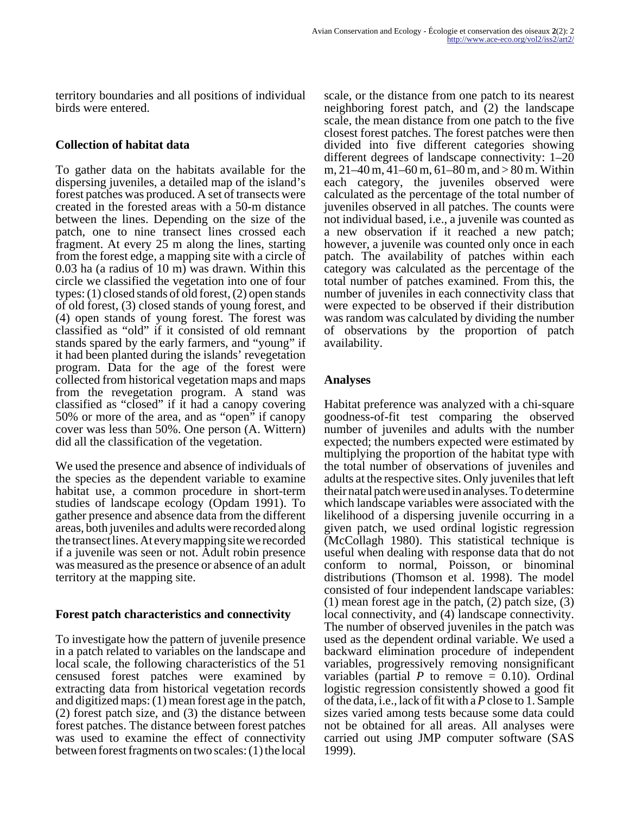territory boundaries and all positions of individual birds were entered.

### **Collection of habitat data**

To gather data on the habitats available for the dispersing juveniles, a detailed map of the island's forest patches was produced. A set of transects were created in the forested areas with a 50-m distance between the lines. Depending on the size of the patch, one to nine transect lines crossed each fragment. At every 25 m along the lines, starting from the forest edge, a mapping site with a circle of 0.03 ha (a radius of 10 m) was drawn. Within this circle we classified the vegetation into one of four types: (1) closed stands of old forest, (2) open stands of old forest, (3) closed stands of young forest, and (4) open stands of young forest. The forest was classified as "old" if it consisted of old remnant stands spared by the early farmers, and "young" if it had been planted during the islands' revegetation program. Data for the age of the forest were collected from historical vegetation maps and maps from the revegetation program. A stand was classified as "closed" if it had a canopy covering 50% or more of the area, and as "open" if canopy cover was less than 50%. One person (A. Wittern) did all the classification of the vegetation.

We used the presence and absence of individuals of the species as the dependent variable to examine habitat use, a common procedure in short-term studies of landscape ecology (Opdam 1991). To gather presence and absence data from the different areas, both juveniles and adults were recorded along the transect lines. At every mapping site we recorded if a juvenile was seen or not. Adult robin presence was measured as the presence or absence of an adult territory at the mapping site.

#### **Forest patch characteristics and connectivity**

To investigate how the pattern of juvenile presence in a patch related to variables on the landscape and local scale, the following characteristics of the 51 censused forest patches were examined by extracting data from historical vegetation records and digitized maps: (1) mean forest age in the patch, (2) forest patch size, and (3) the distance between forest patches. The distance between forest patches was used to examine the effect of connectivity between forest fragments on two scales: (1) the local

scale, or the distance from one patch to its nearest neighboring forest patch, and (2) the landscape scale, the mean distance from one patch to the five closest forest patches. The forest patches were then divided into five different categories showing different degrees of landscape connectivity: 1–20 m,  $21-40$  m,  $41-60$  m,  $61-80$  m, and  $> 80$  m. Within each category, the juveniles observed were calculated as the percentage of the total number of juveniles observed in all patches. The counts were not individual based, i.e., a juvenile was counted as a new observation if it reached a new patch; however, a juvenile was counted only once in each patch. The availability of patches within each category was calculated as the percentage of the total number of patches examined. From this, the number of juveniles in each connectivity class that were expected to be observed if their distribution was random was calculated by dividing the number of observations by the proportion of patch availability.

### **Analyses**

Habitat preference was analyzed with a chi-square goodness-of-fit test comparing the observed number of juveniles and adults with the number expected; the numbers expected were estimated by multiplying the proportion of the habitat type with the total number of observations of juveniles and adults at the respective sites. Only juveniles that left their natal patch were used in analyses. To determine which landscape variables were associated with the likelihood of a dispersing juvenile occurring in a given patch, we used ordinal logistic regression (McCollagh 1980). This statistical technique is useful when dealing with response data that do not conform to normal, Poisson, or binominal distributions (Thomson et al. 1998). The model consisted of four independent landscape variables: (1) mean forest age in the patch, (2) patch size, (3) local connectivity, and (4) landscape connectivity. The number of observed juveniles in the patch was used as the dependent ordinal variable. We used a backward elimination procedure of independent variables, progressively removing nonsignificant variables (partial  $P$  to remove  $= 0.10$ ). Ordinal logistic regression consistently showed a good fit of the data, i.e., lack of fit with a *P* close to 1. Sample sizes varied among tests because some data could not be obtained for all areas. All analyses were carried out using JMP computer software (SAS 1999).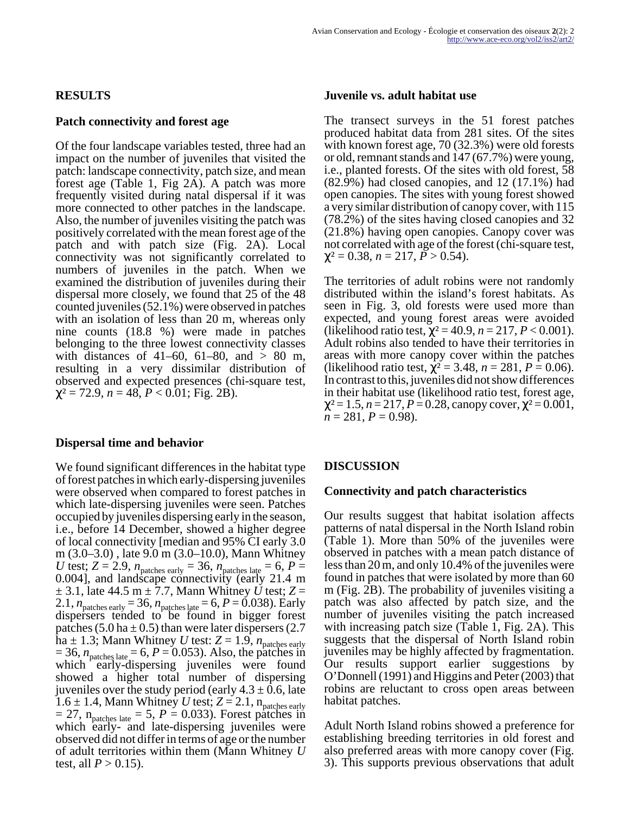#### **RESULTS**

#### **Patch connectivity and forest age**

Of the four landscape variables tested, three had an impact on the number of juveniles that visited the patch: landscape connectivity, patch size, and mean forest age (Table 1, Fig 2A). A patch was more frequently visited during natal dispersal if it was more connected to other patches in the landscape. Also, the number of juveniles visiting the patch was positively correlated with the mean forest age of the patch and with patch size (Fig. 2A). Local connectivity was not significantly correlated to numbers of juveniles in the patch. When we examined the distribution of juveniles during their dispersal more closely, we found that 25 of the 48 counted juveniles (52.1%) were observed in patches with an isolation of less than 20 m, whereas only nine counts (18.8 %) were made in patches belonging to the three lowest connectivity classes with distances of 41–60, 61–80, and  $> 80$  m, resulting in a very dissimilar distribution of observed and expected presences (chi-square test,  $\gamma^2 = 72.9$ ,  $n = 48$ ,  $P < 0.01$ ; Fig. 2B).

#### **Dispersal time and behavior**

We found significant differences in the habitat type of forest patches in which early-dispersing juveniles were observed when compared to forest patches in which late-dispersing juveniles were seen. Patches occupied by juveniles dispersing early in the season, i.e., before 14 December, showed a higher degree of local connectivity [median and 95% CI early 3.0 m (3.0–3.0) , late 9.0 m (3.0–10.0), Mann Whitney *U* test;  $Z = 2.9$ ,  $n_{\text{patches early}} = 36$ ,  $n_{\text{patches late}} = 6$ ,  $P =$ 0.004], and landscape connectivity (early 21.4 m  $\pm$  3.1, late 44.5 m  $\pm$  7.7, Mann Whitney *U* test; Z = 2.1,  $n_{\text{patches early}} = 36$ ,  $n_{\text{patches late}} = 6$ ,  $P = 0.038$ ). Early dispersers tended to be found in bigger forest patches (5.0 ha  $\pm$  0.5) than were later dispersers (2.7) ha  $\pm$  1.3; Mann Whitney *U* test:  $Z = 1.9$ ,  $n_{\text{patches early}}$  $= 36$ ,  $n_{\text{patches late}} = 6$ ,  $P = 0.053$ ). Also, the patches in which early-dispersing juveniles were found showed a higher total number of dispersing juveniles over the study period (early  $4.3 \pm 0.6$ , late 1.6  $\pm$  1.4, Mann Whitney *U* test; *Z* = 2.1, n<sub>patches early</sub>  $= 27$ ,  $n_{\text{patches late}} = 5$ ,  $P = 0.033$ ). Forest patches in which early- and late-dispersing juveniles were observed did not differ in terms of age or the number of adult territories within them (Mann Whitney *U* test, all  $P > 0.15$ ).

#### **Juvenile vs. adult habitat use**

The transect surveys in the 51 forest patches produced habitat data from 281 sites. Of the sites with known forest age, 70 (32.3%) were old forests or old, remnant stands and 147 (67.7%) were young, i.e., planted forests. Of the sites with old forest, 58  $(82.9\%)$  had closed canopies, and 12 (17.1%) had open canopies. The sites with young forest showed a very similar distribution of canopy cover, with 115 (78.2%) of the sites having closed canopies and 32 (21.8%) having open canopies. Canopy cover was not correlated with age of the forest (chi-square test,  $\chi^2 = 0.38$ ,  $n = 217$ ,  $P > 0.54$ ).

The territories of adult robins were not randomly distributed within the island's forest habitats. As seen in Fig. 3, old forests were used more than expected, and young forest areas were avoided (likelihood ratio test,  $\chi^2 = 40.9$ ,  $n = 217$ ,  $P < 0.001$ ). Adult robins also tended to have their territories in areas with more canopy cover within the patches (likelihood ratio test,  $\chi^2 = 3.48$ ,  $n = 281$ ,  $P = 0.06$ ). In contrast to this, juveniles did not show differences in their habitat use (likelihood ratio test, forest age,  $\chi^2 = 1.5$ ,  $n = 217$ ,  $P = 0.28$ , canopy cover,  $\chi^2 = 0.001$ ,  $n = 281, P = 0.98$ .

#### **DISCUSSION**

#### **Connectivity and patch characteristics**

Our results suggest that habitat isolation affects patterns of natal dispersal in the North Island robin (Table 1). More than 50% of the juveniles were observed in patches with a mean patch distance of less than 20 m, and only 10.4% of the juveniles were found in patches that were isolated by more than 60 m (Fig. 2B). The probability of juveniles visiting a patch was also affected by patch size, and the number of juveniles visiting the patch increased with increasing patch size (Table 1, Fig. 2A). This suggests that the dispersal of North Island robin juveniles may be highly affected by fragmentation. Our results support earlier suggestions by O'Donnell (1991) and Higgins and Peter (2003) that robins are reluctant to cross open areas between habitat patches.

Adult North Island robins showed a preference for establishing breeding territories in old forest and also preferred areas with more canopy cover (Fig. 3). This supports previous observations that adult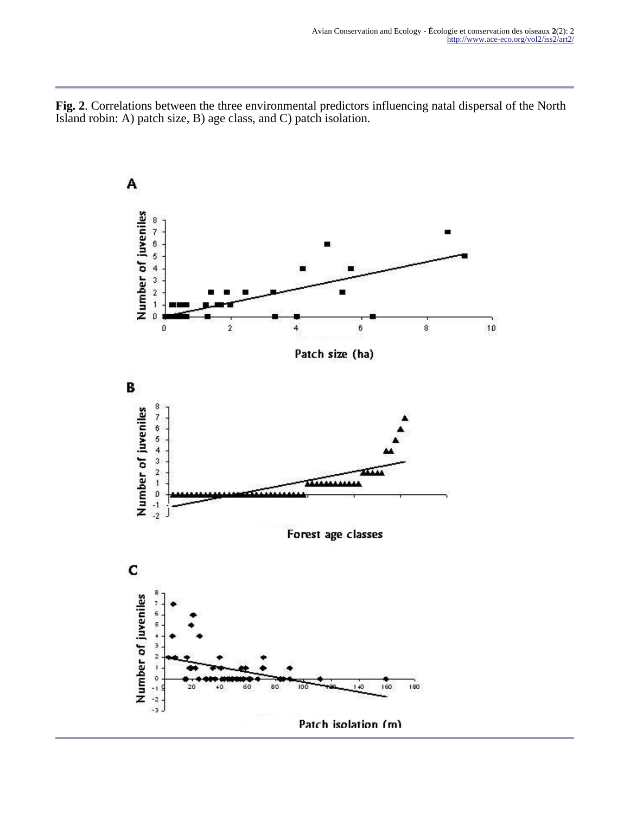**Fig. 2**. Correlations between the three environmental predictors influencing natal dispersal of the North Island robin: A) patch size, B) age class, and C) patch isolation.

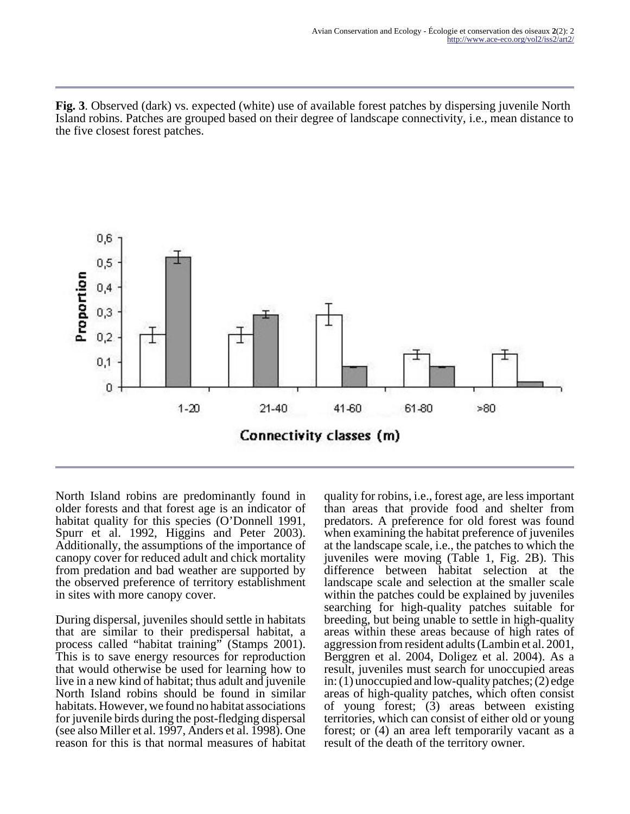**Fig. 3**. Observed (dark) vs. expected (white) use of available forest patches by dispersing juvenile North Island robins. Patches are grouped based on their degree of landscape connectivity, i.e., mean distance to the five closest forest patches.



North Island robins are predominantly found in older forests and that forest age is an indicator of habitat quality for this species (O'Donnell 1991, Spurr et al. 1992, Higgins and Peter 2003). Additionally, the assumptions of the importance of canopy cover for reduced adult and chick mortality from predation and bad weather are supported by the observed preference of territory establishment in sites with more canopy cover.

During dispersal, juveniles should settle in habitats that are similar to their predispersal habitat, a process called "habitat training" (Stamps 2001). This is to save energy resources for reproduction that would otherwise be used for learning how to live in a new kind of habitat; thus adult and juvenile North Island robins should be found in similar habitats. However, we found no habitat associations for juvenile birds during the post-fledging dispersal (see also Miller et al. 1997, Anders et al. 1998). One reason for this is that normal measures of habitat quality for robins, i.e., forest age, are less important than areas that provide food and shelter from predators. A preference for old forest was found when examining the habitat preference of juveniles at the landscape scale, i.e., the patches to which the juveniles were moving (Table 1, Fig. 2B). This difference between habitat selection at the landscape scale and selection at the smaller scale within the patches could be explained by juveniles searching for high-quality patches suitable for breeding, but being unable to settle in high-quality areas within these areas because of high rates of aggression from resident adults (Lambin et al. 2001, Berggren et al. 2004, Doligez et al. 2004). As a result, juveniles must search for unoccupied areas in: (1) unoccupied and low-quality patches; (2) edge areas of high-quality patches, which often consist of young forest;  $(\overline{3})$  areas between existing territories, which can consist of either old or young forest; or (4) an area left temporarily vacant as a result of the death of the territory owner.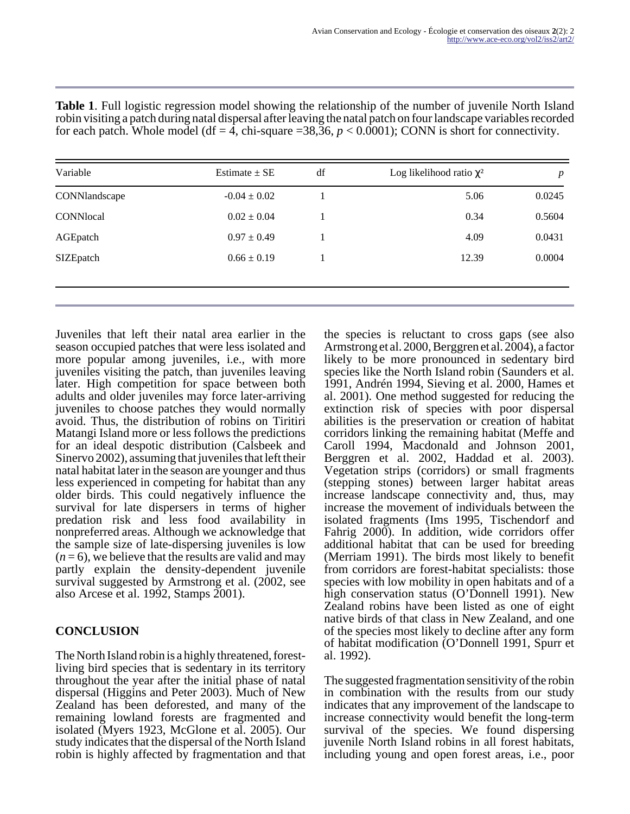| Variable          | Estimate $\pm$ SE | df | Log likelihood ratio $\chi^2$ | p      |
|-------------------|-------------------|----|-------------------------------|--------|
| CONNlandscape     | $-0.04 \pm 0.02$  |    | 5.06                          | 0.0245 |
| <b>CONN</b> local | $0.02 \pm 0.04$   |    | 0.34                          | 0.5604 |
| AGEpatch          | $0.97 \pm 0.49$   |    | 4.09                          | 0.0431 |
| SIZEpatch         | $0.66 \pm 0.19$   |    | 12.39                         | 0.0004 |

**Table 1**. Full logistic regression model showing the relationship of the number of juvenile North Island robin visiting a patch during natal dispersal after leaving the natal patch on four landscape variables recorded for each patch. Whole model (df = 4, chi-square =  $38,36, p < 0.0001$ ); CONN is short for connectivity.

Juveniles that left their natal area earlier in the season occupied patches that were less isolated and more popular among juveniles, i.e., with more juveniles visiting the patch, than juveniles leaving later. High competition for space between both adults and older juveniles may force later-arriving juveniles to choose patches they would normally avoid. Thus, the distribution of robins on Tiritiri Matangi Island more or less follows the predictions for an ideal despotic distribution (Calsbeek and Sinervo 2002), assuming that juveniles that left their natal habitat later in the season are younger and thus less experienced in competing for habitat than any older birds. This could negatively influence the survival for late dispersers in terms of higher predation risk and less food availability in nonpreferred areas. Although we acknowledge that the sample size of late-dispersing juveniles is low  $(n=6)$ , we believe that the results are valid and may partly explain the density-dependent juvenile survival suggested by Armstrong et al. (2002, see also Arcese et al. 1992, Stamps 2001).

### **CONCLUSION**

The North Island robin is a highly threatened, forestliving bird species that is sedentary in its territory throughout the year after the initial phase of natal dispersal (Higgins and Peter 2003). Much of New Zealand has been deforested, and many of the remaining lowland forests are fragmented and isolated (Myers 1923, McGlone et al. 2005). Our study indicates that the dispersal of the North Island robin is highly affected by fragmentation and that the species is reluctant to cross gaps (see also Armstrong et al. 2000, Berggren et al. 2004), a factor likely to be more pronounced in sedentary bird species like the North Island robin (Saunders et al. 1991, Andrén 1994, Sieving et al. 2000, Hames et al. 2001). One method suggested for reducing the extinction risk of species with poor dispersal abilities is the preservation or creation of habitat corridors linking the remaining habitat (Meffe and Caroll 1994, Macdonald and Johnson 2001, Berggren et al. 2002, Haddad et al. 2003). Vegetation strips (corridors) or small fragments (stepping stones) between larger habitat areas increase landscape connectivity and, thus, may increase the movement of individuals between the isolated fragments (Ims 1995, Tischendorf and Fahrig 2000). In addition, wide corridors offer additional habitat that can be used for breeding (Merriam 1991). The birds most likely to benefit from corridors are forest-habitat specialists: those species with low mobility in open habitats and of a high conservation status (O'Donnell 1991). New Zealand robins have been listed as one of eight native birds of that class in New Zealand, and one of the species most likely to decline after any form of habitat modification (O'Donnell 1991, Spurr et al. 1992).

The suggested fragmentation sensitivity of the robin in combination with the results from our study indicates that any improvement of the landscape to increase connectivity would benefit the long-term survival of the species. We found dispersing juvenile North Island robins in all forest habitats, including young and open forest areas, i.e., poor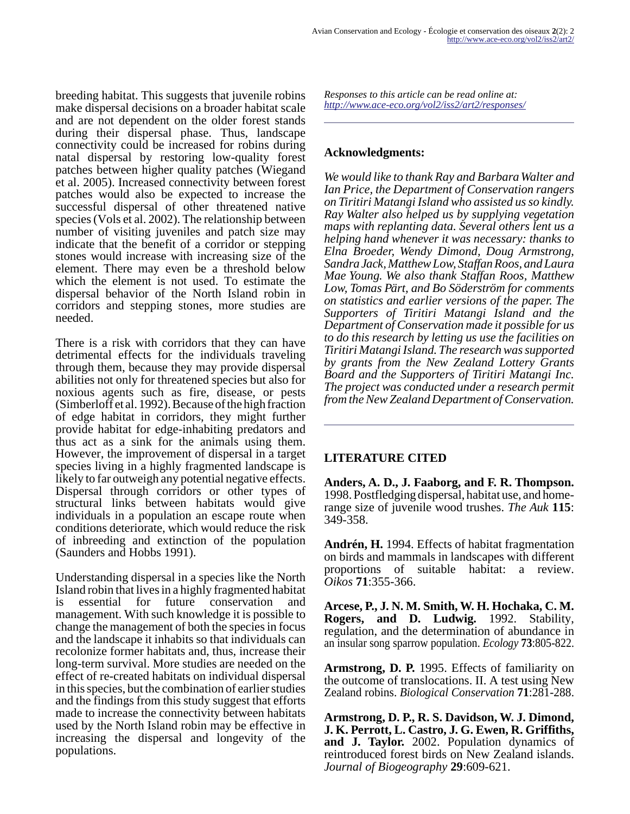breeding habitat. This suggests that juvenile robins make dispersal decisions on a broader habitat scale and are not dependent on the older forest stands during their dispersal phase. Thus, landscape connectivity could be increased for robins during natal dispersal by restoring low-quality forest patches between higher quality patches (Wiegand et al. 2005). Increased connectivity between forest patches would also be expected to increase the successful dispersal of other threatened native species (Vols et al. 2002). The relationship between number of visiting juveniles and patch size may indicate that the benefit of a corridor or stepping stones would increase with increasing size of the element. There may even be a threshold below which the element is not used. To estimate the dispersal behavior of the North Island robin in corridors and stepping stones, more studies are needed.

There is a risk with corridors that they can have detrimental effects for the individuals traveling through them, because they may provide dispersal abilities not only for threatened species but also for noxious agents such as fire, disease, or pests (Simberloff et al. 1992). Because of the high fraction of edge habitat in corridors, they might further provide habitat for edge-inhabiting predators and thus act as a sink for the animals using them. However, the improvement of dispersal in a target species living in a highly fragmented landscape is likely to far outweigh any potential negative effects. Dispersal through corridors or other types of structural links between habitats would give individuals in a population an escape route when conditions deteriorate, which would reduce the risk of inbreeding and extinction of the population (Saunders and Hobbs 1991).

Understanding dispersal in a species like the North Island robin that lives in a highly fragmented habitat is essential for future conservation and management. With such knowledge it is possible to change the management of both the species in focus and the landscape it inhabits so that individuals can recolonize former habitats and, thus, increase their long-term survival. More studies are needed on the effect of re-created habitats on individual dispersal in this species, but the combination of earlier studies and the findings from this study suggest that efforts made to increase the connectivity between habitats used by the North Island robin may be effective in increasing the dispersal and longevity of the populations.

*Responses to this article can be read online at: <http://www.ace-eco.org/vol2/iss2/art2/responses/>*

### **Acknowledgments:**

*We would like to thank Ray and Barbara Walter and Ian Price, the Department of Conservation rangers on Tiritiri Matangi Island who assisted us so kindly. Ray Walter also helped us by supplying vegetation maps with replanting data. Several others lent us a helping hand whenever it was necessary: thanks to Elna Broeder, Wendy Dimond, Doug Armstrong, Sandra Jack, Matthew Low, Staffan Roos, and Laura Mae Young. We also thank Staffan Roos, Matthew Low, Tomas Pärt, and Bo Söderström for comments on statistics and earlier versions of the paper. The Supporters of Tiritiri Matangi Island and the Department of Conservation made it possible for us to do this research by letting us use the facilities on Tiritiri Matangi Island. The research was supported by grants from the New Zealand Lottery Grants Board and the Supporters of Tiritiri Matangi Inc. The project was conducted under a research permit from the New Zealand Department of Conservation.*

#### **LITERATURE CITED**

**Anders, A. D., J. Faaborg, and F. R. Thompson.** 1998. Postfledging dispersal, habitat use, and homerange size of juvenile wood trushes. *The Auk* **115**: 349-358.

**Andrén, H.** 1994. Effects of habitat fragmentation on birds and mammals in landscapes with different proportions of suitable habitat: a review. *Oikos* **71**:355-366.

**Arcese, P., J. N. M. Smith, W. H. Hochaka, C. M. Rogers, and D. Ludwig.** 1992. Stability, regulation, and the determination of abundance in an insular song sparrow population. *Ecology* **73**:805-822.

**Armstrong, D. P.** 1995. Effects of familiarity on the outcome of translocations. II. A test using New Zealand robins. *Biological Conservation* **71**:281-288.

**Armstrong, D. P., R. S. Davidson, W. J. Dimond, J. K. Perrott, L. Castro, J. G. Ewen, R. Griffiths, and J. Taylor.** 2002. Population dynamics of reintroduced forest birds on New Zealand islands. *Journal of Biogeography* **29**:609-621.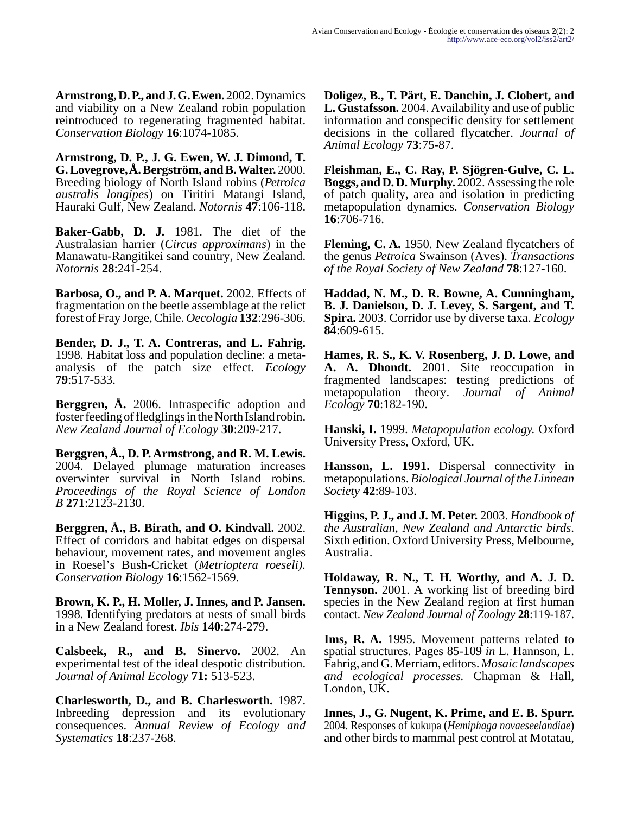**Armstrong, D. P., and J. G. Ewen.** 2002. Dynamics and viability on a New Zealand robin population reintroduced to regenerating fragmented habitat. *Conservation Biology* **16**:1074-1085.

**Armstrong, D. P., J. G. Ewen, W. J. Dimond, T. G. Lovegrove, Å. Bergström, and B. Walter.** 2000. Breeding biology of North Island robins (*Petroica australis longipes*) on Tiritiri Matangi Island, Hauraki Gulf, New Zealand. *Notornis* **47**:106-118.

**Baker-Gabb, D. J.** 1981. The diet of the Australasian harrier (*Circus approximans*) in the Manawatu-Rangitikei sand country, New Zealand. *Notornis* **28**:241-254.

**Barbosa, O., and P. A. Marquet.** 2002. Effects of fragmentation on the beetle assemblage at the relict forest of Fray Jorge, Chile. *Oecologia* **132**:296-306.

**Bender, D. J., T. A. Contreras, and L. Fahrig.** 1998. Habitat loss and population decline: a metaanalysis of the patch size effect. *Ecology* **79**:517-533.

**Berggren, Å.** 2006. Intraspecific adoption and foster feeding of fledglings in the North Island robin. *New Zealand Journal of Ecology* **30**:209-217.

**Berggren, Å., D. P. Armstrong, and R. M. Lewis.** 2004. Delayed plumage maturation increases overwinter survival in North Island robins. *Proceedings of the Royal Science of London B* **271**:2123-2130.

**Berggren, Å., B. Birath, and O. Kindvall.** 2002. Effect of corridors and habitat edges on dispersal behaviour, movement rates, and movement angles in Roesel's Bush-Cricket (*Metrioptera roeseli). Conservation Biology* **16**:1562-1569.

**Brown, K. P., H. Moller, J. Innes, and P. Jansen.** 1998. Identifying predators at nests of small birds in a New Zealand forest. *Ibis* **140**:274-279.

**Calsbeek, R., and B. Sinervo.** 2002. An experimental test of the ideal despotic distribution. *Journal of Animal Ecology* **71:** 513-523.

**Charlesworth, D., and B. Charlesworth.** 1987. Inbreeding depression and its evolutionary consequences. *Annual Review of Ecology and Systematics* **18**:237-268.

**Doligez, B., T. Pärt, E. Danchin, J. Clobert, and L. Gustafsson.** 2004. Availability and use of public information and conspecific density for settlement decisions in the collared flycatcher. *Journal of Animal Ecology* **73**:75-87.

**Fleishman, E., C. Ray, P. Sjögren-Gulve, C. L. Boggs, and D. D. Murphy.** 2002. Assessing the role of patch quality, area and isolation in predicting metapopulation dynamics. *Conservation Biology* **16**:706-716.

**Fleming, C. A.** 1950. New Zealand flycatchers of the genus *Petroica* Swainson (Aves). *Transactions of the Royal Society of New Zealand* **78**:127-160.

**Haddad, N. M., D. R. Bowne, A. Cunningham, B. J. Danielson, D. J. Levey, S. Sargent, and T. Spira.** 2003. Corridor use by diverse taxa. *Ecology* **84**:609-615.

**Hames, R. S., K. V. Rosenberg, J. D. Lowe, and A. A. Dhondt.** 2001. Site reoccupation in fragmented landscapes: testing predictions of metapopulation theory. *Journal of Animal Ecology* **70**:182-190.

**Hanski, I.** 1999. *Metapopulation ecology.* Oxford University Press, Oxford, UK.

**Hansson, L. 1991.** Dispersal connectivity in metapopulations. *Biological Journal of the Linnean Society* **42**:89-103.

**Higgins, P. J., and J. M. Peter.** 2003. *Handbook of the Australian, New Zealand and Antarctic birds*. Sixth edition. Oxford University Press, Melbourne, Australia.

**Holdaway, R. N., T. H. Worthy, and A. J. D. Tennyson.** 2001. A working list of breeding bird species in the New Zealand region at first human contact. *New Zealand Journal of Zoology* **28**:119-187.

**Ims, R. A.** 1995. Movement patterns related to spatial structures. Pages 85-109 *in* L. Hannson, L. Fahrig, and G. Merriam, editors. *Mosaic landscapes and ecological processes.* Chapman & Hall, London, UK.

**Innes, J., G. Nugent, K. Prime, and E. B. Spurr.** 2004. Responses of kukupa (*Hemiphaga novaeseelandiae*) and other birds to mammal pest control at Motatau,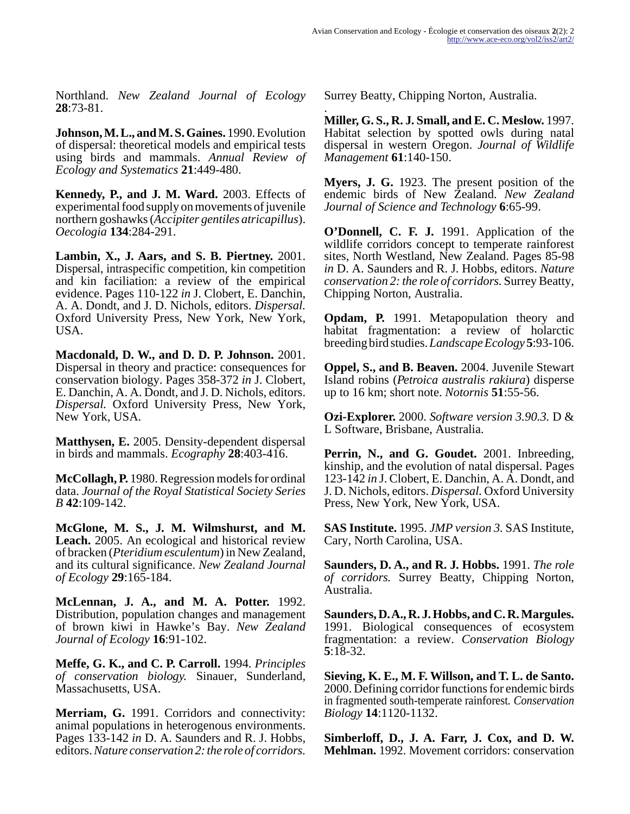Northland. *New Zealand Journal of Ecology* **28**:73-81.

**Johnson, M. L., and M. S. Gaines.** 1990. Evolution of dispersal: theoretical models and empirical tests using birds and mammals. *Annual Review of Ecology and Systematics* **21**:449-480.

**Kennedy, P., and J. M. Ward.** 2003. Effects of experimental food supply on movements of juvenile northern goshawks (*Accipiter gentiles atricapillus*). *Oecologia* **134**:284-291.

**Lambin, X., J. Aars, and S. B. Piertney.** 2001. Dispersal, intraspecific competition, kin competition and kin faciliation: a review of the empirical evidence. Pages 110-122 *in* J. Clobert, E. Danchin, A. A. Dondt, and J. D. Nichols, editors. *Dispersal.* Oxford University Press, New York, New York, USA.

**Macdonald, D. W., and D. D. P. Johnson.** 2001. Dispersal in theory and practice: consequences for conservation biology. Pages 358-372 *in* J. Clobert, E. Danchin, A. A. Dondt, and J. D. Nichols, editors. *Dispersal.* Oxford University Press, New York, New York, USA.

**Matthysen, E.** 2005. Density-dependent dispersal in birds and mammals. *Ecography* **28**:403-416.

**McCollagh, P.** 1980. Regression models for ordinal data. *Journal of the Royal Statistical Society Series B* **42**:109-142.

**McGlone, M. S., J. M. Wilmshurst, and M. Leach.** 2005. An ecological and historical review of bracken (*Pteridium esculentum*) in New Zealand, and its cultural significance. *New Zealand Journal of Ecology* **29**:165-184.

**McLennan, J. A., and M. A. Potter.** 1992. Distribution, population changes and management of brown kiwi in Hawke's Bay. *New Zealand Journal of Ecology* **16**:91-102.

**Meffe, G. K., and C. P. Carroll.** 1994. *Principles of conservation biology.* Sinauer, Sunderland, Massachusetts, USA.

**Merriam, G.** 1991. Corridors and connectivity: animal populations in heterogenous environments. Pages 133-142 *in* D. A. Saunders and R. J. Hobbs, editors. *Nature conservation 2: the role of corridors.* Surrey Beatty, Chipping Norton, Australia.

. **Miller, G. S., R. J. Small, and E. C. Meslow.** 1997. Habitat selection by spotted owls during natal dispersal in western Oregon. *Journal of Wildlife Management* **61**:140-150.

**Myers, J. G.** 1923. The present position of the endemic birds of New Zealand. *New Zealand Journal of Science and Technology* **6**:65-99.

**O'Donnell, C. F. J.** 1991. Application of the wildlife corridors concept to temperate rainforest sites, North Westland, New Zealand. Pages 85-98 *in* D. A. Saunders and R. J. Hobbs, editors. *Nature conservation 2: the role of corridors.* Surrey Beatty, Chipping Norton, Australia.

**Opdam, P.** 1991. Metapopulation theory and habitat fragmentation: a review of holarctic breeding bird studies. *Landscape Ecology* **5**:93-106.

**Oppel, S., and B. Beaven.** 2004. Juvenile Stewart Island robins (*Petroica australis rakiura*) disperse up to 16 km; short note. *Notornis* **51**:55-56.

**Ozi-Explorer.** 2000. *Software version 3.90.3.* D & L Software, Brisbane, Australia.

**Perrin, N., and G. Goudet.** 2001. Inbreeding, kinship, and the evolution of natal dispersal. Pages 123-142 *in* J. Clobert, E. Danchin, A. A. Dondt, and J. D. Nichols, editors. *Dispersal.* Oxford University Press, New York, New York, USA.

**SAS Institute.** 1995. *JMP version 3.* SAS Institute, Cary, North Carolina, USA.

**Saunders, D. A., and R. J. Hobbs.** 1991. *The role of corridors.* Surrey Beatty, Chipping Norton, Australia.

**Saunders, D. A., R. J. Hobbs, and C. R. Margules.** 1991. Biological consequences of ecosystem fragmentation: a review. *Conservation Biology* **5**:18-32.

**Sieving, K. E., M. F. Willson, and T. L. de Santo.** 2000. Defining corridor functions for endemic birds in fragmented south-temperate rainforest*. Conservation Biology* **14**:1120-1132.

**Simberloff, D., J. A. Farr, J. Cox, and D. W. Mehlman.** 1992. Movement corridors: conservation